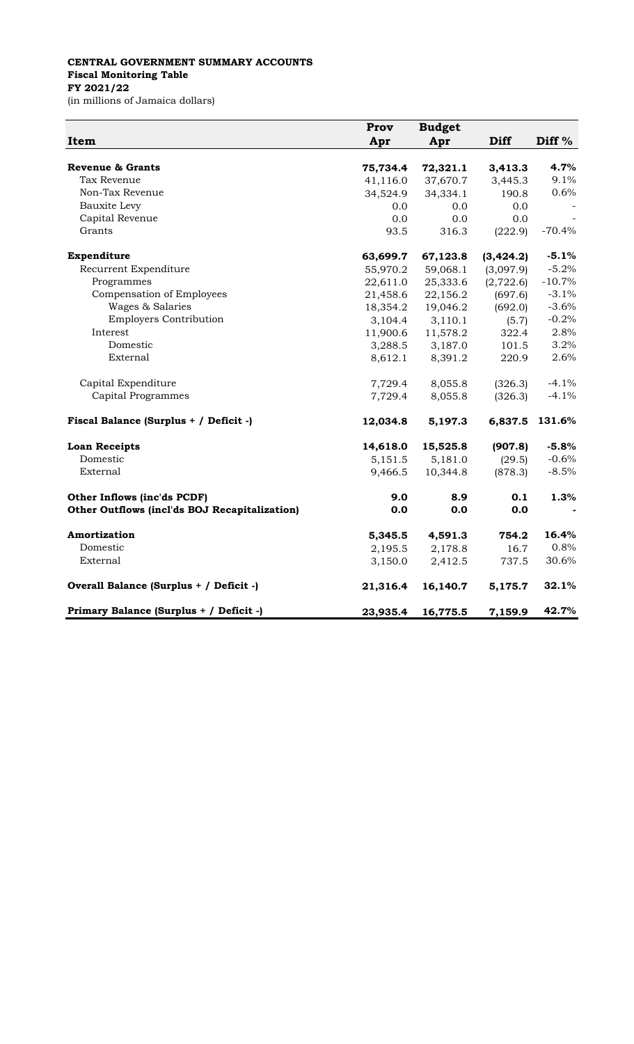## **CENTRAL GOVERNMENT SUMMARY ACCOUNTS Fiscal Monitoring Table FY 2021/22**

(in millions of Jamaica dollars)

|                                               | Prov     | <b>Budget</b> |             |          |
|-----------------------------------------------|----------|---------------|-------------|----------|
| <b>Item</b>                                   | Apr      | Apr           | <b>Diff</b> | Diff $%$ |
|                                               |          |               |             |          |
| Revenue & Grants                              | 75,734.4 | 72,321.1      | 3,413.3     | 4.7%     |
| Tax Revenue                                   | 41,116.0 | 37,670.7      | 3,445.3     | 9.1%     |
| Non-Tax Revenue                               | 34,524.9 | 34,334.1      | 190.8       | 0.6%     |
| <b>Bauxite Levy</b>                           | 0.0      | 0.0           | 0.0         |          |
| Capital Revenue                               | 0.0      | 0.0           | 0.0         |          |
| Grants                                        | 93.5     | 316.3         | (222.9)     | $-70.4%$ |
| Expenditure                                   | 63,699.7 | 67,123.8      | (3, 424.2)  | $-5.1%$  |
| Recurrent Expenditure                         | 55,970.2 | 59,068.1      | (3,097.9)   | $-5.2%$  |
| Programmes                                    | 22,611.0 | 25,333.6      | (2,722.6)   | $-10.7%$ |
| Compensation of Employees                     | 21,458.6 | 22,156.2      | (697.6)     | $-3.1%$  |
| Wages & Salaries                              | 18,354.2 | 19,046.2      | (692.0)     | $-3.6%$  |
| <b>Employers Contribution</b>                 | 3,104.4  | 3,110.1       | (5.7)       | $-0.2%$  |
| Interest                                      | 11,900.6 | 11,578.2      | 322.4       | 2.8%     |
| Domestic                                      | 3,288.5  | 3,187.0       | 101.5       | 3.2%     |
| External                                      | 8,612.1  | 8,391.2       | 220.9       | 2.6%     |
| Capital Expenditure                           | 7,729.4  | 8,055.8       | (326.3)     | $-4.1%$  |
| Capital Programmes                            | 7,729.4  | 8,055.8       | (326.3)     | $-4.1%$  |
| Fiscal Balance (Surplus + / Deficit -)        | 12,034.8 | 5,197.3       | 6,837.5     | 131.6%   |
| <b>Loan Receipts</b>                          | 14,618.0 | 15,525.8      | (907.8)     | $-5.8%$  |
| Domestic                                      | 5,151.5  | 5,181.0       | (29.5)      | $-0.6%$  |
| External                                      | 9,466.5  | 10,344.8      | (878.3)     | $-8.5%$  |
| Other Inflows (inc'ds PCDF)                   | 9.0      | 8.9           | 0.1         | 1.3%     |
| Other Outflows (incl'ds BOJ Recapitalization) | 0.0      | 0.0           | 0.0         |          |
| <b>Amortization</b>                           | 5,345.5  | 4,591.3       | 754.2       | 16.4%    |
| Domestic                                      | 2,195.5  | 2,178.8       | 16.7        | 0.8%     |
| External                                      | 3,150.0  | 2,412.5       | 737.5       | 30.6%    |
| Overall Balance (Surplus + / Deficit -)       | 21,316.4 | 16,140.7      | 5,175.7     | 32.1%    |
| Primary Balance (Surplus + / Deficit -)       | 23,935.4 | 16,775.5      | 7,159.9     | 42.7%    |